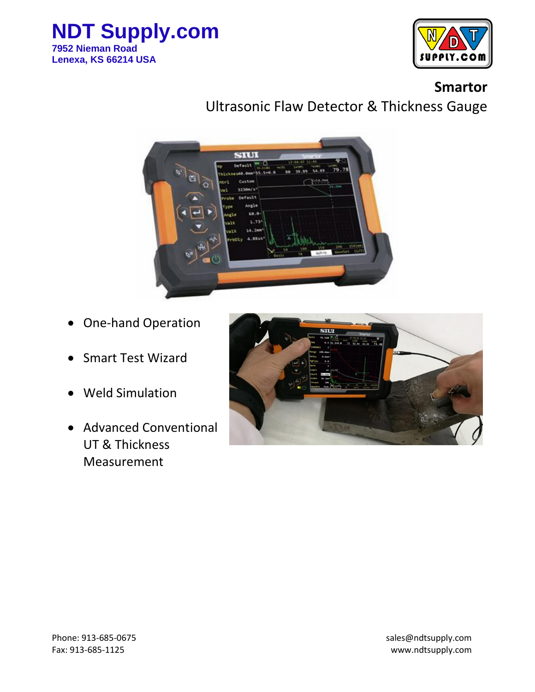



## **Smartor**

Ultrasonic Flaw Detector & Thickness Gauge



- One-hand Operation
- Smart Test Wizard
- Weld Simulation
- Advanced Conventional UT & Thickness Measurement

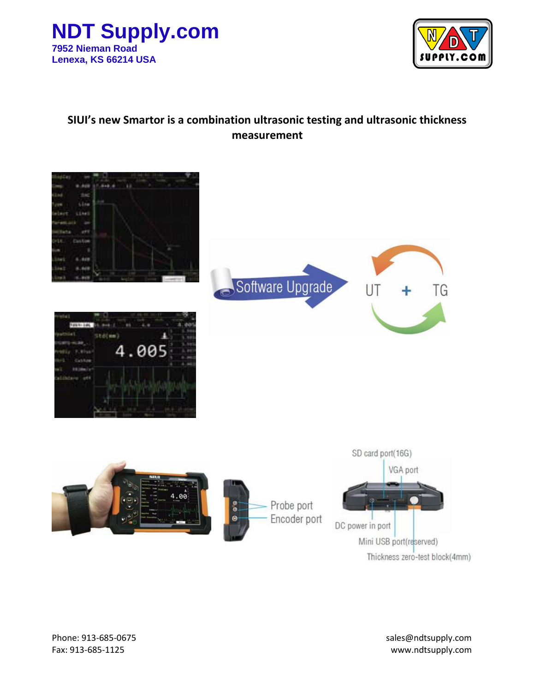



## **SIUI's new Smartor is a combination ultrasonic testing and ultrasonic thickness measurement**

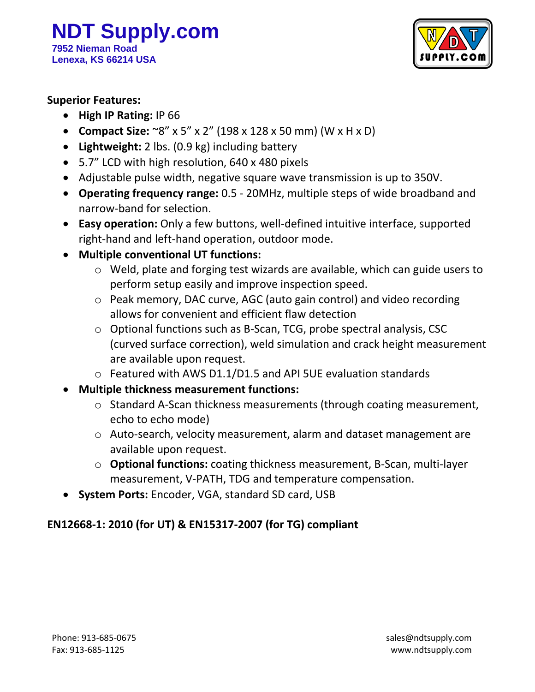

#### **Superior Features:**

- **High IP Rating:** IP 66
- **Compact Size:** ~8" x 5" x 2" (198 x 128 x 50 mm) (W x H x D)
- **Lightweight:** 2 lbs. (0.9 kg) including battery
- 5.7" LCD with high resolution, 640 x 480 pixels
- Adjustable pulse width, negative square wave transmission is up to 350V.
- **Operating frequency range:** 0.5 20MHz, multiple steps of wide broadband and narrow-band for selection.
- **Easy operation:** Only a few buttons, well-defined intuitive interface, supported right-hand and left-hand operation, outdoor mode.
- **Multiple conventional UT functions:**
	- o Weld, plate and forging test wizards are available, which can guide users to perform setup easily and improve inspection speed.
	- o Peak memory, DAC curve, AGC (auto gain control) and video recording allows for convenient and efficient flaw detection
	- o Optional functions such as B-Scan, TCG, probe spectral analysis, CSC (curved surface correction), weld simulation and crack height measurement are available upon request.
	- o Featured with AWS D1.1/D1.5 and API 5UE evaluation standards
- **Multiple thickness measurement functions:**
	- o Standard A-Scan thickness measurements (through coating measurement, echo to echo mode)
	- o Auto-search, velocity measurement, alarm and dataset management are available upon request.
	- o **Optional functions:** coating thickness measurement, B-Scan, multi-layer measurement, V-PATH, TDG and temperature compensation.
- **System Ports:** Encoder, VGA, standard SD card, USB

### **EN12668-1: 2010 (for UT) & EN15317-2007 (for TG) compliant**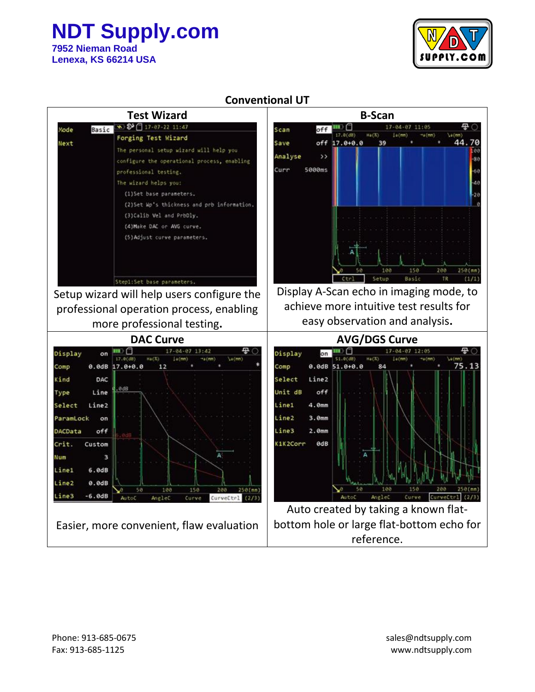## **NDT Supply.com**

**7952 Nieman Road Lenexa, KS 66214 USA**



## **Conventional UT**

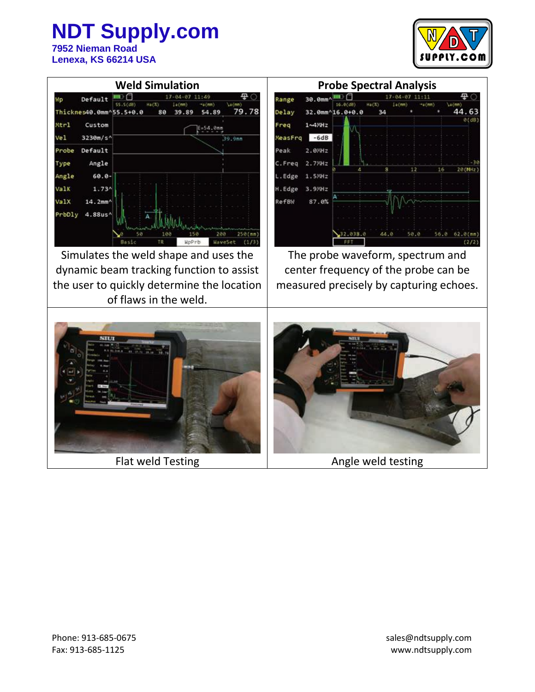

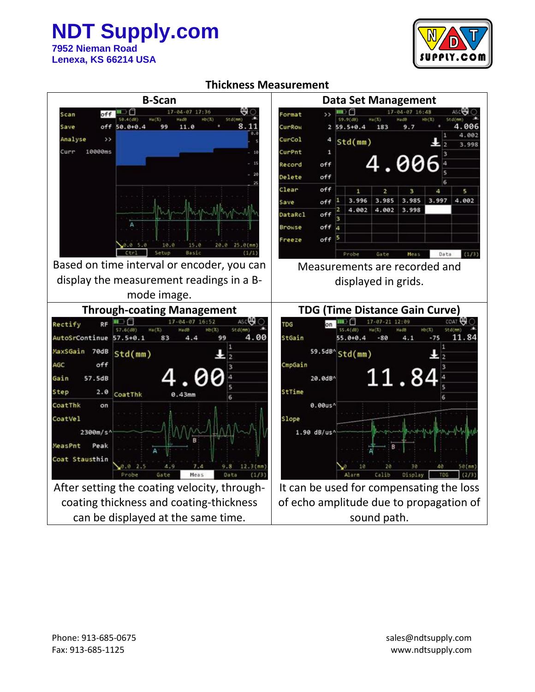## **NDT Supply.com 7952 Nieman Road**



**Lenexa, KS 66214 USA**

#### **Thickness Measurement**

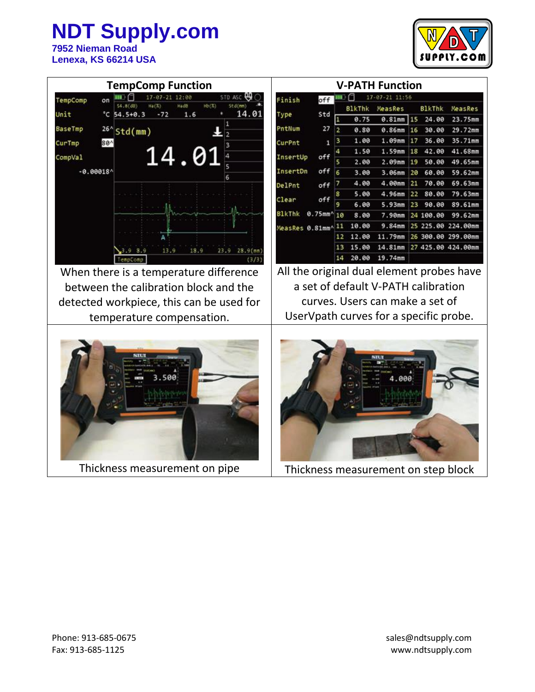# **NDT Supply.com**

**7952 Nieman Road Lenexa, KS 66214 USA**



| <b>TempComp Function</b>                       | <b>V-PATH Function</b>                                                                            |
|------------------------------------------------|---------------------------------------------------------------------------------------------------|
| STD ASC<br>12:00<br>TempComp<br>on             | 17-87-21 11:56<br>Finish<br>off                                                                   |
| HD(X)<br>Std(mm)                               | <b>BlkThk</b><br><b>B1kThk</b><br>MeasRes<br><b>ReasRes</b>                                       |
| Unit<br>14.01<br>$°C 54.5+0.3$<br>1.6<br>$-72$ | Std<br>Type<br>0.75<br>0.81mm<br>15<br>24.00<br>23.75mm                                           |
| Baselmp<br>$26^{\circ}$<br>Std(mm)             | PntNum<br>27<br>2<br>29.72mm<br>0.80<br>$0.86$ mm<br>16<br>30.00                                  |
| $80^{\circ}$<br>CurTmp                         | 35.71mm<br>1.00<br>36.00<br>з<br>1.09 <sub>mm</sub><br>17<br>1<br>CurPnt                          |
| 14.01<br>CompVal                               | 1.50<br>1.59mm<br>42.00<br>41.68mm<br>18<br>off<br>InsertUp                                       |
|                                                | 2.00<br>49.65mm<br>2.09mm<br>50.00<br>19                                                          |
| $-0.00018$                                     | off<br>InsertDn<br>6<br>59.62mm<br>3.00<br>60.00<br>3.06mm<br>20                                  |
|                                                | 69.63mm<br>4.00<br>4.00mm<br>21<br>70.00<br>of f<br>DelPnt                                        |
|                                                | 5.00<br>79.63mm<br>4.96mm<br>80.00<br>22<br>Clear<br>off                                          |
|                                                | 6.00<br>5.93mm<br>89.61mm<br>23<br>90.00                                                          |
|                                                | <b>BlkThk</b><br>$0.75$ mm <sup><math>A</math></sup> 10<br>8.00<br>7.90mm<br>99.62mm<br>24 100.00 |
|                                                | 10.00<br>9.84mm<br>25 225.00 224.00mm<br>11<br>MeasRes 0.81mm^                                    |
|                                                | 11.79mm<br>12.00<br>12<br>26 300.00<br>299.00mm                                                   |
| 13.9<br>18.9<br>23.9<br>28.9(mm                | 14.81mm<br>13<br>15.00<br>27 425.00 424.00mm                                                      |
| TenpCon                                        | 19.74mm<br>14<br>20.00                                                                            |
| When there is a temperature difference         | All the original dual element probes have                                                         |
| between the calibration block and the          | a set of default V-PATH calibration                                                               |
| detected workpiece, this can be used for       | curves. Users can make a set of                                                                   |
| temperature compensation.                      | UserVpath curves for a specific probe.                                                            |
|                                                |                                                                                                   |

Thickness measurement on pipe Thickness measurement on step block

a v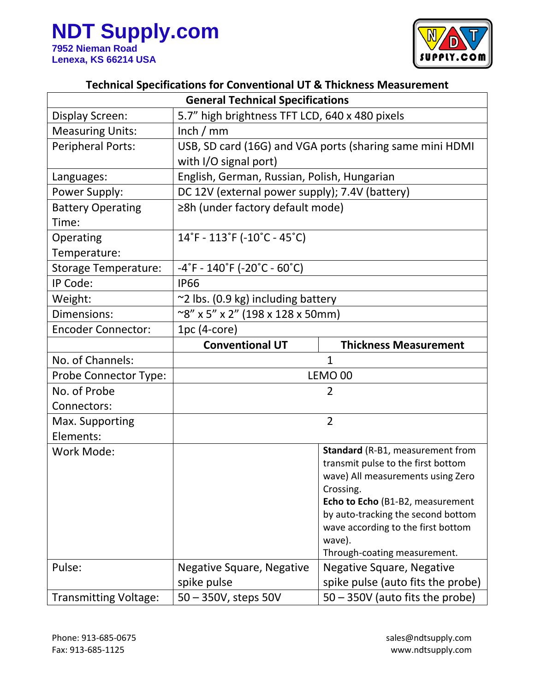

## **Technical Specifications for Conventional UT & Thickness Measurement**

| <b>General Technical Specifications</b> |                                                                        |                                                |
|-----------------------------------------|------------------------------------------------------------------------|------------------------------------------------|
| Display Screen:                         | 5.7" high brightness TFT LCD, 640 x 480 pixels                         |                                                |
| <b>Measuring Units:</b>                 | lnch / mm                                                              |                                                |
| <b>Peripheral Ports:</b>                | USB, SD card (16G) and VGA ports (sharing same mini HDMI               |                                                |
|                                         | with I/O signal port)                                                  |                                                |
| Languages:                              | English, German, Russian, Polish, Hungarian                            |                                                |
| Power Supply:                           | DC 12V (external power supply); 7.4V (battery)                         |                                                |
| <b>Battery Operating</b>                | ≥8h (under factory default mode)                                       |                                                |
| Time:                                   |                                                                        |                                                |
| Operating                               | 14°F - 113°F (-10°C - 45°C)                                            |                                                |
| Temperature:                            |                                                                        |                                                |
| <b>Storage Temperature:</b>             | $-4^{\circ}$ F - 140 $^{\circ}$ F (-20 $^{\circ}$ C - 60 $^{\circ}$ C) |                                                |
| IP Code:                                | <b>IP66</b>                                                            |                                                |
| Weight:                                 | $\approx$ 2 lbs. (0.9 kg) including battery                            |                                                |
| Dimensions:                             | $\sim$ 8" x 5" x 2" (198 x 128 x 50mm)                                 |                                                |
| <b>Encoder Connector:</b>               | $1pc(4-core)$                                                          |                                                |
|                                         | <b>Conventional UT</b>                                                 | <b>Thickness Measurement</b>                   |
| No. of Channels:                        | $\mathbf{1}$                                                           |                                                |
| Probe Connector Type:                   | LEMO <sub>00</sub>                                                     |                                                |
| No. of Probe                            | $\overline{2}$                                                         |                                                |
| Connectors:                             |                                                                        |                                                |
| Max. Supporting                         | $\overline{2}$                                                         |                                                |
| Elements:                               |                                                                        |                                                |
| Work Mode:                              |                                                                        | Standard (R-B1, measurement from               |
|                                         |                                                                        | transmit pulse to the first bottom             |
|                                         |                                                                        | wave) All measurements using Zero<br>Crossing. |
|                                         |                                                                        | Echo to Echo (B1-B2, measurement               |
|                                         |                                                                        | by auto-tracking the second bottom             |
|                                         |                                                                        | wave according to the first bottom             |
|                                         |                                                                        | wave).                                         |
|                                         |                                                                        | Through-coating measurement.                   |
| Pulse:                                  | Negative Square, Negative                                              | Negative Square, Negative                      |
|                                         | spike pulse                                                            | spike pulse (auto fits the probe)              |
| <b>Transmitting Voltage:</b>            | 50 - 350V, steps 50V                                                   | $50 - 350V$ (auto fits the probe)              |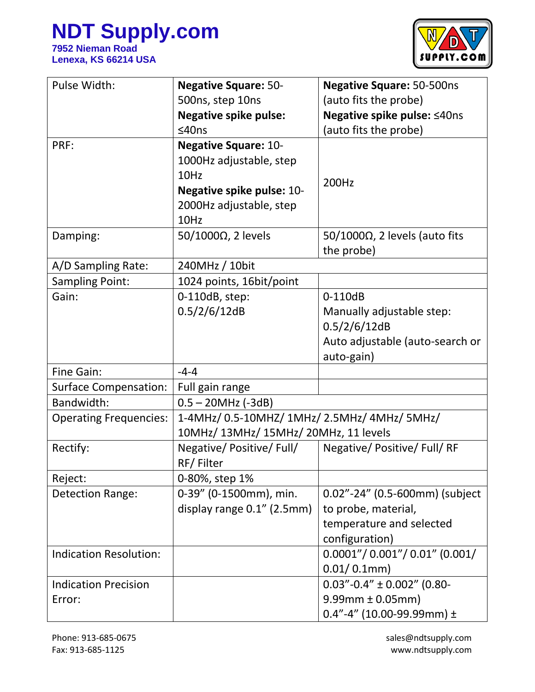

| Pulse Width:                  | <b>Negative Square: 50-</b>                  | <b>Negative Square: 50-500ns</b>      |
|-------------------------------|----------------------------------------------|---------------------------------------|
|                               | 500ns, step 10ns                             | (auto fits the probe)                 |
|                               | <b>Negative spike pulse:</b>                 | Negative spike pulse: ≤40ns           |
|                               | ≤40ns                                        | (auto fits the probe)                 |
| PRF:                          | <b>Negative Square: 10-</b>                  |                                       |
|                               | 1000Hz adjustable, step                      |                                       |
|                               | 10Hz                                         | 200Hz                                 |
|                               | Negative spike pulse: 10-                    |                                       |
|                               | 2000Hz adjustable, step                      |                                       |
|                               | 10Hz                                         |                                       |
| Damping:                      | $50/1000\Omega$ , 2 levels                   | $50/1000\Omega$ , 2 levels (auto fits |
|                               |                                              | the probe)                            |
| A/D Sampling Rate:            | 240MHz / 10bit                               |                                       |
| <b>Sampling Point:</b>        | 1024 points, 16bit/point                     |                                       |
| Gain:                         | 0-110dB, step:                               | 0-110dB                               |
|                               | 0.5/2/6/12dB                                 | Manually adjustable step:             |
|                               |                                              | 0.5/2/6/12dB                          |
|                               |                                              | Auto adjustable (auto-search or       |
|                               |                                              | auto-gain)                            |
| Fine Gain:                    | $-4-4$                                       |                                       |
| <b>Surface Compensation:</b>  | Full gain range                              |                                       |
| Bandwidth:                    | $0.5 - 20$ MHz (-3dB)                        |                                       |
| <b>Operating Frequencies:</b> | 1-4MHz/ 0.5-10MHZ/ 1MHz/ 2.5MHz/ 4MHz/ 5MHz/ |                                       |
|                               | 10MHz/ 13MHz/ 15MHz/ 20MHz, 11 levels        |                                       |
| Rectify:                      | Negative/Positive/Full/                      | Negative/Positive/Full/RF             |
|                               | RF/Filter                                    |                                       |
| Reject:                       | 0-80%, step 1%                               |                                       |
| Detection Range:              | 0-39" (0-1500mm), min.                       | 0.02"-24" (0.5-600mm) (subject        |
|                               | display range 0.1" (2.5mm)                   | to probe, material,                   |
|                               |                                              | temperature and selected              |
|                               |                                              | configuration)                        |
| <b>Indication Resolution:</b> |                                              | $0.0001''/0.001''/0.01''$ (0.001/     |
|                               |                                              | $0.01/0.1$ mm)                        |
| <b>Indication Precision</b>   |                                              | $0.03$ "-0.4" ± 0.002" (0.80-         |
| Error:                        |                                              | $9.99$ mm $\pm$ 0.05mm)               |
|                               |                                              | 0.4"-4" (10.00-99.99mm) $\pm$         |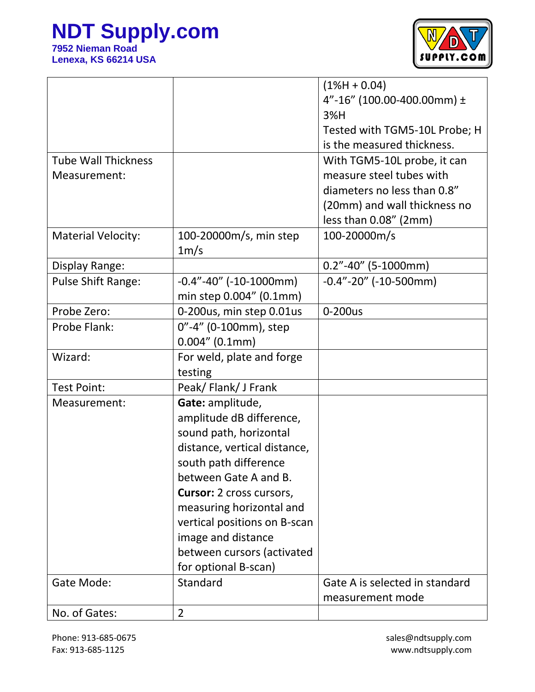

|                            |                                   | $(1%H + 0.04)$                 |
|----------------------------|-----------------------------------|--------------------------------|
|                            |                                   | 4"-16" (100.00-400.00mm) ±     |
|                            |                                   | 3%H                            |
|                            |                                   | Tested with TGM5-10L Probe; H  |
|                            |                                   | is the measured thickness.     |
| <b>Tube Wall Thickness</b> |                                   | With TGM5-10L probe, it can    |
| Measurement:               |                                   | measure steel tubes with       |
|                            |                                   | diameters no less than 0.8"    |
|                            |                                   | (20mm) and wall thickness no   |
|                            |                                   | less than $0.08''$ (2mm)       |
| <b>Material Velocity:</b>  | 100-20000m/s, min step            | 100-20000m/s                   |
|                            | 1m/s                              |                                |
| Display Range:             |                                   | $0.2" - 40"$ (5-1000mm)        |
| <b>Pulse Shift Range:</b>  | $-0.4$ " $-40$ " ( $-10-1000$ mm) | $-0.4"$ -20" (-10-500mm)       |
|                            | min step 0.004" (0.1mm)           |                                |
| Probe Zero:                | 0-200us, min step 0.01us          | 0-200us                        |
| Probe Flank:               | 0"-4" (0-100mm), step             |                                |
|                            | 0.004'' (0.1mm)                   |                                |
| Wizard:                    | For weld, plate and forge         |                                |
|                            | testing                           |                                |
| <b>Test Point:</b>         | Peak/Flank/J Frank                |                                |
| Measurement:               | Gate: amplitude,                  |                                |
|                            | amplitude dB difference,          |                                |
|                            | sound path, horizontal            |                                |
|                            | distance, vertical distance,      |                                |
|                            | south path difference             |                                |
|                            | between Gate A and B.             |                                |
|                            | <b>Cursor:</b> 2 cross cursors,   |                                |
|                            | measuring horizontal and          |                                |
|                            | vertical positions on B-scan      |                                |
|                            | image and distance                |                                |
|                            | between cursors (activated        |                                |
|                            | for optional B-scan)              |                                |
| Gate Mode:                 | Standard                          | Gate A is selected in standard |
|                            |                                   | measurement mode               |
| No. of Gates:              | $\overline{2}$                    |                                |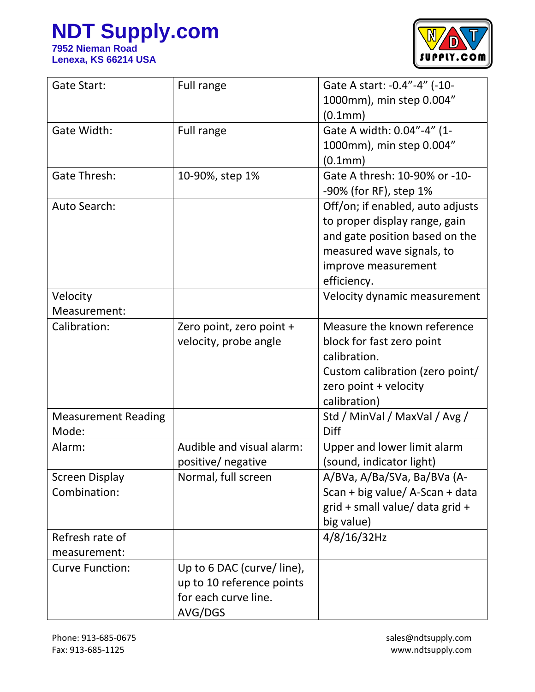

| Gate Start:                | Full range                | Gate A start: -0.4"-4" (-10-     |
|----------------------------|---------------------------|----------------------------------|
|                            |                           | 1000mm), min step 0.004"         |
|                            |                           | (0.1mm)                          |
| Gate Width:                | Full range                | Gate A width: 0.04"-4" (1-       |
|                            |                           | 1000mm), min step 0.004"         |
|                            |                           | (0.1mm)                          |
| <b>Gate Thresh:</b>        | 10-90%, step 1%           | Gate A thresh: 10-90% or -10-    |
|                            |                           | -90% (for RF), step 1%           |
| Auto Search:               |                           | Off/on; if enabled, auto adjusts |
|                            |                           | to proper display range, gain    |
|                            |                           | and gate position based on the   |
|                            |                           | measured wave signals, to        |
|                            |                           | improve measurement              |
|                            |                           | efficiency.                      |
| Velocity                   |                           | Velocity dynamic measurement     |
| Measurement:               |                           |                                  |
| Calibration:               | Zero point, zero point +  | Measure the known reference      |
|                            | velocity, probe angle     | block for fast zero point        |
|                            |                           | calibration.                     |
|                            |                           | Custom calibration (zero point/  |
|                            |                           | zero point + velocity            |
|                            |                           | calibration)                     |
| <b>Measurement Reading</b> |                           | Std / MinVal / MaxVal / Avg /    |
| Mode:                      |                           | <b>Diff</b>                      |
| Alarm:                     | Audible and visual alarm: | Upper and lower limit alarm      |
|                            | positive/ negative        | (sound, indicator light)         |
| <b>Screen Display</b>      | Normal, full screen       | A/BVa, A/Ba/SVa, Ba/BVa (A-      |
| Combination:               |                           | Scan + big value/ A-Scan + data  |
|                            |                           | grid + small value/ data grid +  |
|                            |                           | big value)                       |
| Refresh rate of            |                           | 4/8/16/32Hz                      |
| measurement:               |                           |                                  |
| <b>Curve Function:</b>     | Up to 6 DAC (curve/line), |                                  |
|                            | up to 10 reference points |                                  |
|                            | for each curve line.      |                                  |
|                            | AVG/DGS                   |                                  |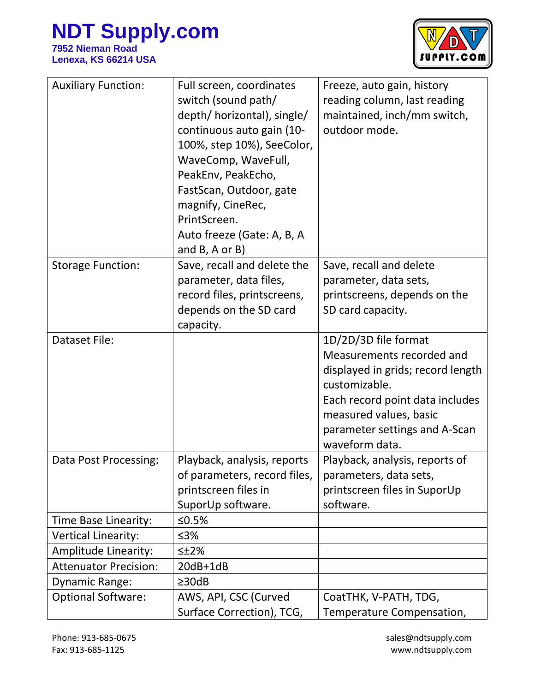

| <b>Auxiliary Function:</b>   | Full screen, coordinates<br>switch (sound path/<br>depth/ horizontal), single/<br>continuous auto gain (10-<br>100%, step 10%), SeeColor,<br>WaveComp, WaveFull, | Freeze, auto gain, history<br>reading column, last reading<br>maintained, inch/mm switch,<br>outdoor mode.   |
|------------------------------|------------------------------------------------------------------------------------------------------------------------------------------------------------------|--------------------------------------------------------------------------------------------------------------|
|                              | PeakEnv, PeakEcho,                                                                                                                                               |                                                                                                              |
|                              | FastScan, Outdoor, gate<br>magnify, CineRec,                                                                                                                     |                                                                                                              |
|                              | PrintScreen.                                                                                                                                                     |                                                                                                              |
|                              | Auto freeze (Gate: A, B, A                                                                                                                                       |                                                                                                              |
| <b>Storage Function:</b>     | and $B$ , $A$ or $B$ )<br>Save, recall and delete the                                                                                                            | Save, recall and delete                                                                                      |
|                              | parameter, data files,                                                                                                                                           | parameter, data sets,                                                                                        |
|                              | record files, printscreens,                                                                                                                                      | printscreens, depends on the                                                                                 |
|                              | depends on the SD card                                                                                                                                           | SD card capacity.                                                                                            |
|                              | capacity.                                                                                                                                                        |                                                                                                              |
| <b>Dataset File:</b>         |                                                                                                                                                                  | 1D/2D/3D file format<br>Measurements recorded and<br>displayed in grids; record length<br>customizable.      |
|                              |                                                                                                                                                                  | Each record point data includes<br>measured values, basic<br>parameter settings and A-Scan<br>waveform data. |
| Data Post Processing:        | Playback, analysis, reports                                                                                                                                      | Playback, analysis, reports of                                                                               |
|                              | of parameters, record files,                                                                                                                                     | parameters, data sets,                                                                                       |
|                              | printscreen files in                                                                                                                                             | printscreen files in SuporUp                                                                                 |
|                              | SuporUp software.                                                                                                                                                | software.                                                                                                    |
| Time Base Linearity:         | ≤ $0.5%$                                                                                                                                                         |                                                                                                              |
| <b>Vertical Linearity:</b>   | ≤3%                                                                                                                                                              |                                                                                                              |
| <b>Amplitude Linearity:</b>  | $\leq$ $\pm$ 2%                                                                                                                                                  |                                                                                                              |
| <b>Attenuator Precision:</b> | $20dB+1dB$                                                                                                                                                       |                                                                                                              |
| Dynamic Range:               | $\geq$ 30dB                                                                                                                                                      |                                                                                                              |
| <b>Optional Software:</b>    | AWS, API, CSC (Curved                                                                                                                                            | CoatTHK, V-PATH, TDG,                                                                                        |
|                              | Surface Correction), TCG,                                                                                                                                        | Temperature Compensation,                                                                                    |